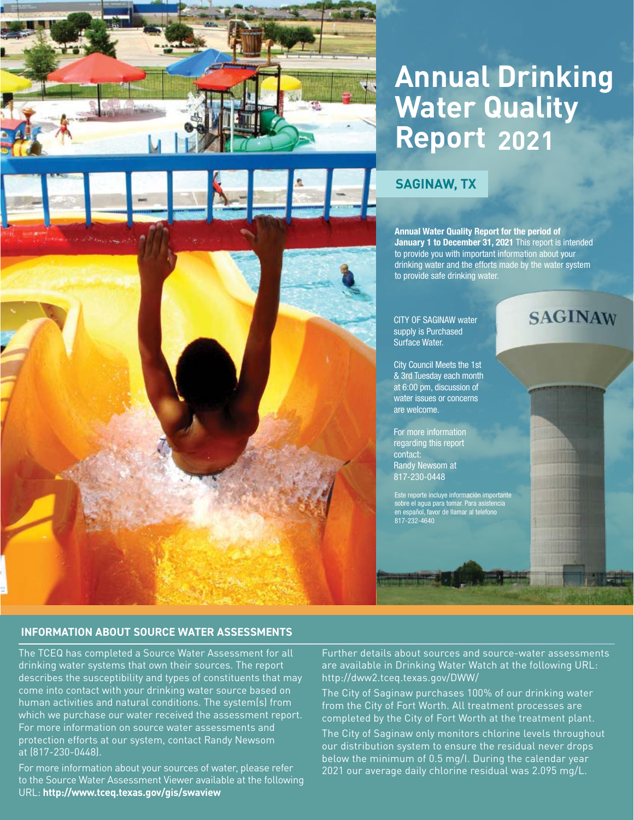

# **Annual Drinking Water Quality Report 2021**

# **SAGINAW, TX**

Annual Water Quality Report for the period of January 1 to December 31, 2021 This report is intended to provide you with important information about your drinking water and the efforts made by the water system to provide safe drinking water.

CITY OF SAGINAW water supply is Purchased Surface Water.

City Council Meets the 1st & 3rd Tuesday each month at 6:00 pm, discussion of water issues or concerns are welcome.

For more information regarding this report contact: Randy Newsom at 817-230-0448

Este reporte incluye información importante sobre el agua para tomar. Para asistencia en español, favor de llamar al telefono 817-232-4640

# **SAGINAW**

### **INFORMATION ABOUT SOURCE WATER ASSESSMENTS**

The TCEQ has completed a Source Water Assessment for all drinking water systems that own their sources. The report describes the susceptibility and types of constituents that may come into contact with your drinking water source based on human activities and natural conditions. The system(s) from which we purchase our water received the assessment report. For more information on source water assessments and protection efforts at our system, contact Randy Newsom at (817-230-0448).

For more information about your sources of water, please refer to the Source Water Assessment Viewer available at the following URL: **http://www.tceq.texas.gov/gis/swaview** 

Further details about sources and source-water assessments are available in Drinking Water Watch at the following URL: <http://dww2.tceq.texas.gov/DWW/>

The City of Saginaw purchases 100% of our drinking water from the City of Fort Worth. All treatment processes are completed by the City of Fort Worth at the treatment plant.

The City of Saginaw only monitors chlorine levels throughout our distribution system to ensure the residual never drops below the minimum of 0.5 mg/I. During the calendar year 2021 our average daily chlorine residual was 2.095 mg/L.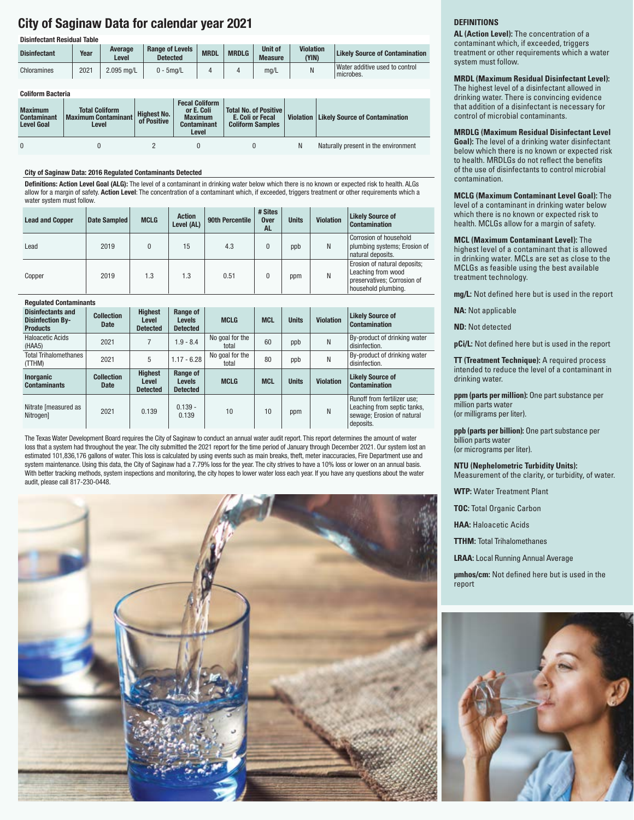# City of Saginaw Data for calendar year 2021

| <b>Disinfectant Residual Table</b> |      |                  |                                           |                       |              |                                  |                           |                                             |  |  |
|------------------------------------|------|------------------|-------------------------------------------|-----------------------|--------------|----------------------------------|---------------------------|---------------------------------------------|--|--|
| <b>Disinfectant</b>                | Year | Average<br>Level | <b>Range of Levels</b><br><b>Detected</b> | <b>MRDL</b>           | <b>MRDLG</b> | <b>Unit of</b><br><b>Measure</b> | <b>Violation</b><br>(YIN) | <b>Likely Source of Contamination</b>       |  |  |
| Chloramines                        | 2021 | 2.095 mg/L       | $0 - 5$ mg/L                              | 4                     | 4            | mq/L                             |                           | Water additive used to control<br>microbes. |  |  |
|                                    |      |                  |                                           |                       |              |                                  |                           |                                             |  |  |
| <b>Coliform Bacteria</b>           |      |                  |                                           |                       |              |                                  |                           |                                             |  |  |
|                                    |      |                  |                                           | <b>Fecal Coliform</b> |              |                                  |                           |                                             |  |  |

| <b>Maximum</b><br><b>Contaminant</b><br><b>Level Goal</b> | <b>Total Coliform</b><br><b>Maximum Contaminant</b><br>Level | <b>Highest No.</b><br>of Positive | or E. Coli<br><b>Maximum</b><br><b>Contaminant</b><br>Level | Total No. of Positive<br>E. Coli or Fecal<br><b>Coliform Samples</b> | Violation   Likely Source of Contamination |
|-----------------------------------------------------------|--------------------------------------------------------------|-----------------------------------|-------------------------------------------------------------|----------------------------------------------------------------------|--------------------------------------------|
|                                                           |                                                              |                                   |                                                             |                                                                      | Naturally present in the environment       |

#### City of Saginaw Data: 2016 Regulated Contaminants Detected

Definitions: Action Level Goal (ALG): The level of a contaminant in drinking water below which there is no known or expected risk to health. ALGs allow for a margin of safety. Action Level: The concentration of a contaminant which, if exceeded, triggers treatment or other requirements which a water system must follow.

| <b>Lead and Copper</b> | Date Sampled | <b>MCLG</b> | <b>Action</b><br>Level (AL) | 90th Percentile | # Sites<br><b>Over</b><br><b>AL</b> | <b>Units</b> | <b>Violation</b> | <b>Likely Source of</b><br><b>Contamination</b>                                                          |
|------------------------|--------------|-------------|-----------------------------|-----------------|-------------------------------------|--------------|------------------|----------------------------------------------------------------------------------------------------------|
| Lead                   | 2019         |             | 15                          | 4.3             | 0                                   | ppb          | N                | Corrosion of household<br>plumbing systems; Erosion of<br>natural deposits.                              |
| Copper                 | 2019         | 1.3         | 1.3                         | 0.51            | 0                                   | ppm          | N                | Erosion of natural deposits;<br>Leaching from wood<br>preservatives; Corrosion of<br>household plumbing. |

#### Regulated Contaminants

| <b>Disinfectants and</b><br><b>Disinfection By-</b><br><b>Products</b> | <b>Collection</b><br><b>Date</b> | <b>Highest</b><br>Level<br><b>Detected</b> | Range of<br><b>Levels</b><br><b>Detected</b> | <b>MCLG</b>              | <b>MCL</b> | <b>Units</b> | <b>Violation</b> | <b>Likely Source of</b><br><b>Contamination</b>                                                       |
|------------------------------------------------------------------------|----------------------------------|--------------------------------------------|----------------------------------------------|--------------------------|------------|--------------|------------------|-------------------------------------------------------------------------------------------------------|
| Haloacetic Acids<br>(HAA5)                                             | 2021                             |                                            | $1.9 - 8.4$                                  | No goal for the<br>total | 60         | ppb          | Ν                | By-product of drinking water<br>disinfection.                                                         |
| <b>Total Trihalomethanes</b><br>(TTHM)                                 | 2021                             | 5                                          | $1.17 - 6.28$                                | No goal for the<br>total | 80         | ppb          | Ν                | By-product of drinking water<br>disinfection.                                                         |
| <b>Inorganic</b><br><b>Contaminants</b>                                | <b>Collection</b><br><b>Date</b> | <b>Highest</b><br>Level<br><b>Detected</b> | Range of<br><b>Levels</b><br><b>Detected</b> | <b>MCLG</b>              | <b>MCL</b> | <b>Units</b> | <b>Violation</b> | <b>Likely Source of</b><br><b>Contamination</b>                                                       |
| Nitrate [measured as<br><b>Nitrogen1</b>                               | 2021                             | 0.139                                      | $0.139 -$<br>0.139                           | 10                       | 10         | ppm          | N                | Runoff from fertilizer use;<br>Leaching from septic tanks,<br>sewage; Erosion of natural<br>deposits. |

The Texas Water Development Board requires the City of Saginaw to conduct an annual water audit report. This report determines the amount of water loss that a system had throughout the year. The city submitted the 2021 report for the time period of January through December 2021. Our system lost an estimated 101,836,176 gallons of water. This loss is calculated by using events such as main breaks, theft, meter inaccuracies, Fire Department use and system maintenance. Using this data, the City of Saginaw had a 7.79% loss for the year. The city strives to have a 10% loss or lower on an annual basis. With better tracking methods, system inspections and monitoring, the city hopes to lower water loss each year. If you have any questions about the water audit, please call 817-230-0448.



#### **DEFINITIONS**

**AL (Action Level):** The concentration of a contaminant which, if exceeded, triggers treatment or other requirements which a water system must follow.

#### **MRDL (Maximum Residual Disinfectant Level):**

The highest level of a disinfectant allowed in drinking water. There is convincing evidence that addition of a disinfectant is necessary for control of microbial contaminants.

**MRDLG (Maximum Residual Disinfectant Level Goal):** The level of a drinking water disinfectant below which there is no known or expected risk to health. MRDLGs do not reflect the benefits of the use of disinfectants to control microbial contamination.

#### **MCLG (Maximum Contaminant Level Goal):** The level of a contaminant in drinking water below which there is no known or expected risk to health. MCLGs allow for a margin of safety.

**MCL (Maximum Contaminant Level):** The highest level of a contaminant that is allowed in drinking water. MCLs are set as close to the MCLGs as feasible using the best available treatment technology.

**mg/L:** Not defined here but is used in the report

**NA:** Not applicable

**ND:** Not detected

**pCi/L:** Not defined here but is used in the report

**TT (Treatment Technique):** A required process intended to reduce the level of a contaminant in drinking water.

**ppm (parts per million):** One part substance per million parts water (or milligrams per liter).

**ppb (parts per billion):** One part substance per billion parts water (or micrograms per liter).

**NTU (Nephelometric Turbidity Units):** Measurement of the clarity, or turbidity, of water.

**WTP:** Water Treatment Plant

**TOC:** Total Organic Carbon

**HAA:** Haloacetic Acids

**TTHM:** Total Trihalomethanes

**LRAA:** Local Running Annual Average

**μmhos/cm:** Not defined here but is used in the report

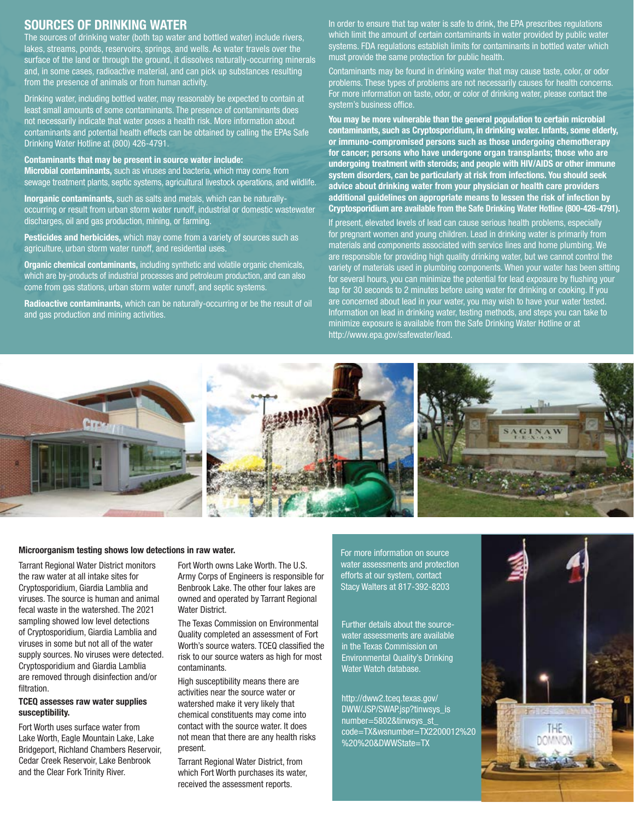## SOURCES OF DRINKING WATER

The sources of drinking water (both tap water and bottled water) include rivers, lakes, streams, ponds, reservoirs, springs, and wells. As water travels over the surface of the land or through the ground, it dissolves naturally-occurring minerals and, in some cases, radioactive material, and can pick up substances resulting from the presence of animals or from human activity.

Drinking water, including bottled water, may reasonably be expected to contain at least small amounts of some contaminants. The presence of contaminants does not necessarily indicate that water poses a health risk. More information about contaminants and potential health effects can be obtained by calling the EPAs Safe Drinking Water Hotline at (800) 426-4791.

Contaminants that may be present in source water include: Microbial contaminants, such as viruses and bacteria, which may come from sewage treatment plants, septic systems, agricultural livestock operations, and wildlife.

Inorganic contaminants, such as salts and metals, which can be naturallyoccurring or result from urban storm water runoff, industrial or domestic wastewater discharges, oil and gas production, mining, or farming.

Pesticides and herbicides, which may come from a variety of sources such as agriculture, urban storm water runoff, and residential uses.

Organic chemical contaminants, including synthetic and volatile organic chemicals, which are by-products of industrial processes and petroleum production, and can also come from gas stations, urban storm water runoff, and septic systems.

Radioactive contaminants, which can be naturally-occurring or be the result of oil and gas production and mining activities.

In order to ensure that tap water is safe to drink, the EPA prescribes regulations which limit the amount of certain contaminants in water provided by public water systems. FDA regulations establish limits for contaminants in bottled water which must provide the same protection for public health.

Contaminants may be found in drinking water that may cause taste, color, or odor problems. These types of problems are not necessarily causes for health concerns. For more information on taste, odor, or color of drinking water, please contact the system's business office.

You may be more vulnerable than the general population to certain microbial contaminants, such as Cryptosporidium, in drinking water. Infants, some elderly, or immuno-compromised persons such as those undergoing chemotherapy for cancer; persons who have undergone organ transplants; those who are undergoing treatment with steroids; and people with HIV/AIDS or other immune system disorders, can be particularly at risk from infections. You should seek advice about drinking water from your physician or health care providers additional guidelines on appropriate means to lessen the risk of infection by Cryptosporidium are available from the Safe Drinking Water Hotline (800-426-4791).

If present, elevated levels of lead can cause serious health problems, especially for pregnant women and young children. Lead in drinking water is primarily from materials and components associated with service lines and home plumbing. We are responsible for providing high quality drinking water, but we cannot control the variety of materials used in plumbing components. When your water has been sitting for several hours, you can minimize the potential for lead exposure by flushing your tap for 30 seconds to 2 minutes before using water for drinking or cooking. If you are concerned about lead in your water, you may wish to have your water tested. Information on lead in drinking water, testing methods, and steps you can take to minimize exposure is available from the Safe Drinking Water Hotline or at http:[//www.epa.gov/safewater/lead.](http://www.epa.gov/safewater/lead)



#### Microorganism testing shows low detections in raw water.

Tarrant Regional Water District monitors the raw water at all intake sites for Cryptosporidium, Giardia Lamblia and viruses. The source is human and animal fecal waste in the watershed. The 2021 sampling showed low level detections of Cryptosporidium, Giardia Lamblia and viruses in some but not all of the water supply sources. No viruses were detected. Cryptosporidium and Giardia Lamblia are removed through disinfection and/or filtration.

#### TCEQ assesses raw water supplies susceptibility.

Fort Worth uses surface water from Lake Worth, Eagle Mountain Lake, Lake Bridgeport, Richland Chambers Reservoir, Cedar Creek Reservoir, Lake Benbrook and the Clear Fork Trinity River.

Fort Worth owns Lake Worth. The U.S. Army Corps of Engineers is responsible for Benbrook Lake. The other four lakes are owned and operated by Tarrant Regional Water District.

The Texas Commission on Environmental Quality completed an assessment of Fort Worth's source waters. TCEQ classified the risk to our source waters as high for most contaminants.

High susceptibility means there are activities near the source water or watershed make it very likely that chemical constituents may come into contact with the source water. It does not mean that there are any health risks present.

Tarrant Regional Water District, from which Fort Worth purchases its water, received the assessment reports.

For more information on source water assessments and protection efforts at our system, contact Stacy Walters at 817-392-8203

Further details about the sourcewater assessments are available in the Texas Commission on Environmental Quality's Drinking Water Watch database.

http://dww2.tceq.texas.gov/ DWW/JSP/SWAP.jsp?tinwsys\_is number=5802&tinwsys\_st\_ code=TX&wsnumber=TX2200012%20 %20%20&DWWState=TX